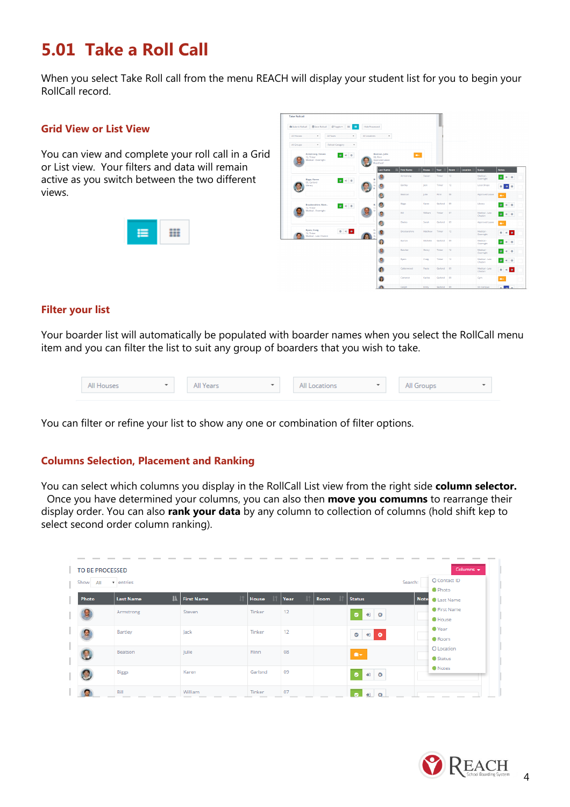# **5.01 Take a Roll Call**

When you select Take Roll call from the menu REACH will display your student list for you to begin your RollCall record.

#### **Grid View or List View**

You can view and complete your roll call in a Grid or List view. Your filters and data will remain active as you switch between the two different views.



| <b>Q</b> Submit Rollcall | <b>商Save Rollcall</b>                                          | O'Toggle v<br>田<br><b>HE</b>                    | <b>Hide Processed</b>               |                                                                   |                                     |                        |                |                  |                 |                            |                                 |  |
|--------------------------|----------------------------------------------------------------|-------------------------------------------------|-------------------------------------|-------------------------------------------------------------------|-------------------------------------|------------------------|----------------|------------------|-----------------|----------------------------|---------------------------------|--|
| All Houses               | $\;$                                                           | All Years<br>$\star$                            | All Locations                       | $\;$                                                              |                                     |                        |                |                  |                 |                            |                                 |  |
| All Groups               | ٠                                                              | <b>Rollcall Category</b><br>$\scriptstyle\rm w$ |                                     |                                                                   |                                     |                        |                |                  |                 |                            |                                 |  |
|                          | <b>Armstrong</b> , Steven<br>12. Tinker<br>Medical - Overnight | 0 <sup>1</sup>                                  |                                     | Beatson, Julie<br>08. Flinn<br>Approved Leave<br><b>Quadfasdf</b> | lo-                                 |                        |                |                  |                 |                            |                                 |  |
|                          |                                                                |                                                 |                                     | <b>Last Name</b>                                                  | в<br><b>First Name</b><br>Armstrong | <b>House</b><br>Steven | Year<br>Tinker | Room<br>12       | <b>Location</b> | <b>Status</b><br>Medical - | <b>Notes</b>                    |  |
|                          | <b>Biggs, Karen</b><br>09. Garlund                             | $\bullet$ $\bullet$ $\circ$                     | B <sub>1</sub><br>$\mathcal{O}_2^*$ |                                                                   |                                     |                        |                |                  |                 | Overnight                  | $\bullet$ $\bullet$ $\circ$     |  |
|                          | Library                                                        |                                                 | A<br>ö                              | e                                                                 | Bartley                             | lack                   | Tinker         | 12               |                 | Local Shops                | ۰<br>$\bullet$ $\circ$          |  |
|                          |                                                                |                                                 |                                     | e                                                                 | Beatson                             | Julie                  | <b>Rinn</b>    | OB.              |                 | Approved Leave             | ۰.                              |  |
|                          | Brockenshire, Matt<br>12. Tinker                               | 0 <sup>o</sup>                                  | D.<br>12<br>u                       | O                                                                 | <b>Biggs</b>                        | Karen                  | Garland        | $^{09}$          |                 | Library                    | $B = 0$                         |  |
|                          | Medical - Overnight                                            |                                                 |                                     | g                                                                 | Bill                                | William                | Tinker         | 07               |                 | Medical - Late<br>Checkin  | 880                             |  |
|                          |                                                                |                                                 |                                     | G                                                                 | Blades                              | Sarah                  | Garlsnd        | 09               |                 | Approved Leave             | a.                              |  |
|                          | <b>Byers, Craig</b><br>12, Tinker<br>Medical - Late Checkin    | 0.90                                            | $\mathbf{G}$<br>$\frac{8}{9}$       | Q                                                                 | Brockenshire                        | Matthew                | Tinker         | 12 <sup>°</sup>  |                 | Medical -<br>Overnight     | $\bullet$<br>$\rightarrow$<br>۰ |  |
|                          |                                                                |                                                 |                                     | Ω                                                                 | Durton                              | Michelle               | Garland        | $^{02}$          |                 | Medical -<br>Overnight     | $\bullet$ $\bullet$ $\circ$     |  |
|                          |                                                                |                                                 |                                     | 偑                                                                 | Butcher                             | Henry.                 | Tinker         | 12 <sub>12</sub> |                 | Medical -<br>Overnight     | $\bullet$ $\bullet$ $\circ$     |  |
|                          |                                                                |                                                 |                                     | o                                                                 | <b>Byers</b>                        | Craig                  | Tinker         | 12 <sup>°</sup>  |                 | Medical - Late<br>Checkin  | $B = 0$                         |  |
|                          |                                                                |                                                 |                                     | 偑                                                                 | Calderwood                          | Paula                  | Garlind        | 09               |                 | Medical - Late<br>Checkin  | l e<br>$\bullet$<br>۰           |  |
|                          |                                                                |                                                 |                                     |                                                                   | Cameron                             | Karina                 | Garland        | $^{00}$          |                 | Gym                        | п.                              |  |
|                          |                                                                |                                                 |                                     |                                                                   | Cargill                             | Emily                  | Garland        | 09               |                 | On Campus                  | $\sim$ 300 $\sim$               |  |

## **Filter your list**

Your boarder list will automatically be populated with boarder names when you select the RollCall menu item and you can filter the list to suit any group of boarders that you wish to take.

| All Houses<br>$\mathbf{v}$ | All Years | $\overline{\phantom{a}}$ | All Locations | $\overline{\phantom{a}}$ | All Groups | $\overline{\phantom{a}}$ |
|----------------------------|-----------|--------------------------|---------------|--------------------------|------------|--------------------------|
|                            |           |                          |               |                          |            |                          |

You can filter or refine your list to show any one or combination of filter options.

## **Columns Selection, Placement and Ranking**

You can select which columns you display in the RollCall List view from the right side **column selector.** Once you have determined your columns, you can also then **move you comumns** to rearrange their display order. You can also **rank your data** by any column to collection of columns (hold shift kep to select second order column ranking).

| <b>TO BE PROCESSED</b><br>$\mathbf{r}$ entries<br>Show<br>All | Search:                          | Columns v<br>O Contact ID<br><b>O</b> Photo |              |      |      |                                     |             |                                       |
|---------------------------------------------------------------|----------------------------------|---------------------------------------------|--------------|------|------|-------------------------------------|-------------|---------------------------------------|
| Photo                                                         | $\mathbf{H}$<br><b>Last Name</b> | <b>First Name</b>                           | <b>House</b> | Year | Room | <b>Status</b>                       | <b>Note</b> | <b>C</b> Last Name                    |
|                                                               | Armstrong                        | Steven                                      | Tinker       | 12   |      | $+1$ 0<br>$\bullet$                 |             | <b>G</b> First Name<br><b>O</b> House |
|                                                               | Bartley                          | Jack                                        | Tinker       | 12   |      | $\bullet$<br>$\bullet$<br>$\bullet$ |             | <b>O</b> Year<br><b>C</b> Room        |
|                                                               | Beatson                          | Julie                                       | Flinn        | 08   |      | $\blacksquare$                      |             | O Location<br><b>Status</b>           |
|                                                               | <b>Biggs</b>                     | Karen                                       | Garlsnd      | 09   |      | $+1$ 0<br>ø                         |             | <b>O</b> Notes                        |
|                                                               | Bill                             | William                                     | Tinker       | 07   |      | $\Omega$<br>÷.                      |             |                                       |

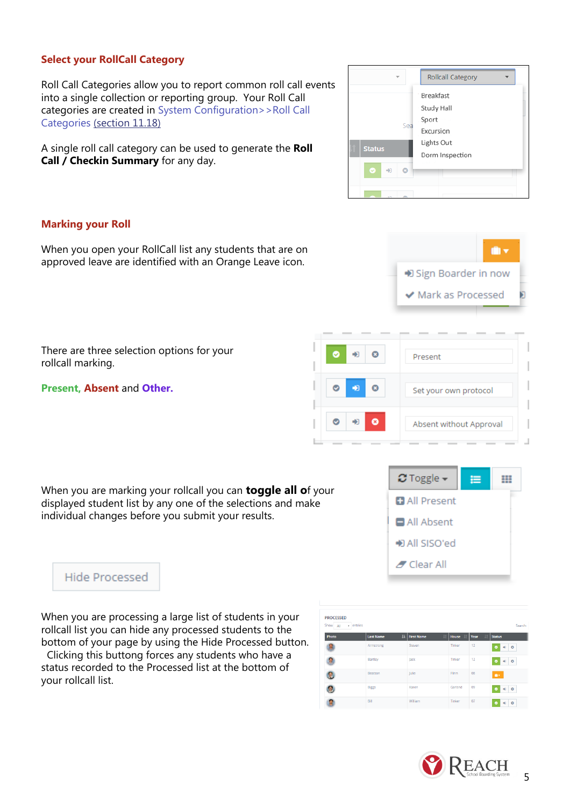## **Select your RollCall Category**

Roll Call Categories allow you to report common roll call events into a single collection or reporting group. Your Roll Call categories are created in System Configuration>>Roll Call Categories (section 11.18)

A single roll call category can be used to generate the **Roll Call / Checkin Summary** for any day.

#### **Marking your Roll**

When you open your RollCall list any students that are on approved leave are identified with an Orange Leave icon.

There are three selection options for your rollcall marking.

**Present, Absent** and **Other.**

When you are marking your rollcall you can **toggle all o**f your displayed student list by any one of the selections and make individual changes before you submit your results.

**Hide Processed** 

When you are processing a large list of students in your rollcall list you can hide any processed students to the bottom of your page by using the Hide Processed button.

 Clicking this buttong forces any students who have a status recorded to the Processed list at the bottom of your rollcall list.

| <b>PROCESSED</b> |                                  |                         |                       |      |                     |
|------------------|----------------------------------|-------------------------|-----------------------|------|---------------------|
| Show All         | $\overline{\phantom{a}}$ entries |                         |                       |      | Search:             |
| Photo            | <b>Last Name</b>                 | 1k<br><b>First Name</b> | House<br>$\mathbf{H}$ | Year | <b>Status</b>       |
| 톅                | Armstrong                        | Steven                  | Tinker                | 12   | $-0$<br>$\bullet$   |
|                  | Bartley                          | Jack                    | Tinker                | 12   | 90<br>$\bullet$     |
|                  | Beatson                          | Julie                   | Flinn                 | 08   | $\mathbf{u}$        |
|                  | <b>Biggs</b>                     | Karen                   | Garlsnd               | 09   | $-9$ 0<br>$\bullet$ |
|                  | Bill                             | William                 | Tinker                | 07   | $-9$ 0<br>$\bullet$ |





A,

+ Sign Boarder in now

← Mark as Processed